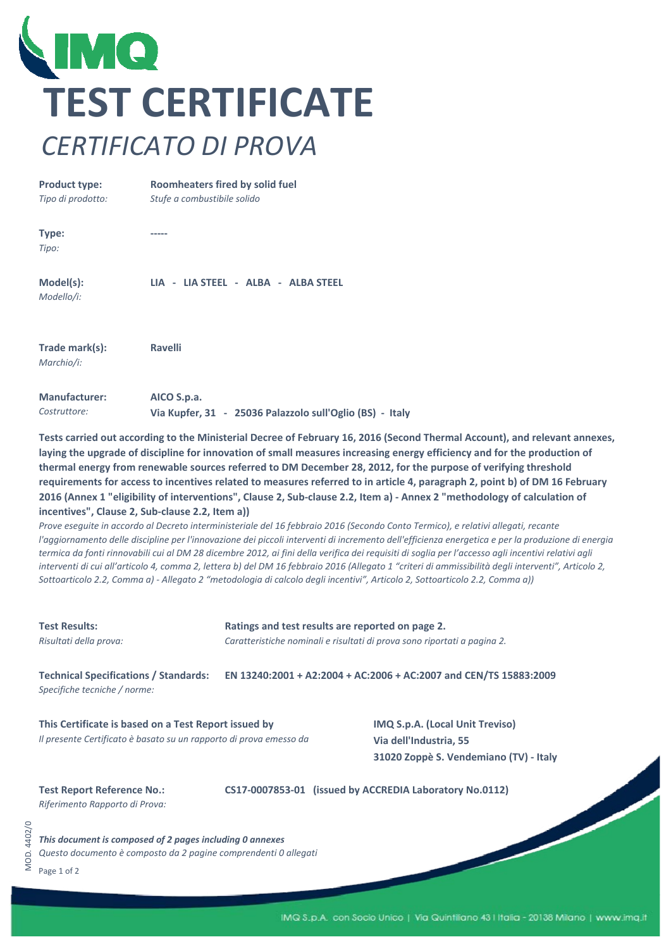

**Product type:**  *Tipo di prodotto:* **Type:** *Tipo:* **Model(s):** *Modello/i:* **Trade mark(s):** *Marchio/i:* **Manufacturer:** *Costruttore:* **Roomheaters fired by solid fuel** *Stufe a combustibile solido* **‐‐‐‐‐ LIA ‐ LIA STEEL ‐ ALBA ‐ ALBA STEEL Ravelli AICO S.p.a. Via Kupfer, 31 ‐ 25036 Palazzolo sull'Oglio (BS) ‐ Italy**

**Tests carried out according to the Ministerial Decree of February 16, 2016 (Second Thermal Account), and relevant annexes,**  laying the upgrade of discipline for innovation of small measures increasing energy efficiency and for the production of **thermal energy from renewable sources referred to DM December 28, 2012, for the purpose of verifying threshold requirements for access to incentives related to measures referred to in article 4, paragraph 2, point b) of DM 16 February 2016 (Annex 1 "eligibility of interventions", Clause 2, Sub‐clause 2.2, Item a) ‐ Annex 2 "methodology of calculation of incentives", Clause 2, Sub‐clause 2.2, Item a))**

*Prove eseguite in accordo al Decreto interministeriale del 16 febbraio 2016 (Secondo Conto Termico), e relativi allegati, recante l'aggiornamento delle discipline per l'innovazione dei piccoli interventi di incremento dell'efficienza energetica e per la produzione di energia termica da fonti rinnovabili cui al DM 28 dicembre 2012, ai fini della verifica dei requisiti di soglia per l'accesso agli incentivi relativi agli interventi di cui all'articolo 4, comma 2, lettera b) del DM 16 febbraio 2016 (Allegato 1 "criteri di ammissibilità degli interventi", Articolo 2, Sottoarticolo 2.2, Comma a) ‐ Allegato 2 "metodologia di calcolo degli incentivi", Articolo 2, Sottoarticolo 2.2, Comma a))*

| <b>Test Results:</b><br>Risultati della prova:                                                                              | Ratings and test results are reported on page 2.<br>Caratteristiche nominali e risultati di prova sono riportati a pagina 2. |                                                                                                            |  |  |  |
|-----------------------------------------------------------------------------------------------------------------------------|------------------------------------------------------------------------------------------------------------------------------|------------------------------------------------------------------------------------------------------------|--|--|--|
| <b>Technical Specifications / Standards:</b><br>Specifiche tecniche / norme:                                                | EN 13240:2001 + A2:2004 + AC:2006 + AC:2007 and CEN/TS 15883:2009                                                            |                                                                                                            |  |  |  |
| This Certificate is based on a Test Report issued by<br>Il presente Certificato è basato su un rapporto di prova emesso da  |                                                                                                                              | <b>IMQ S.p.A. (Local Unit Treviso)</b><br>Via dell'Industria, 55<br>31020 Zoppè S. Vendemiano (TV) - Italy |  |  |  |
| <b>Test Report Reference No.:</b><br>Riferimento Rapporto di Prova:                                                         |                                                                                                                              | CS17-0007853-01 (issued by ACCREDIA Laboratory No.0112)                                                    |  |  |  |
| This document is composed of 2 pages including 0 annexes<br>Questo documento è composto da 2 pagine comprendenti 0 allegati |                                                                                                                              |                                                                                                            |  |  |  |

MOD. 4402/0

4402/0  $AOD.$